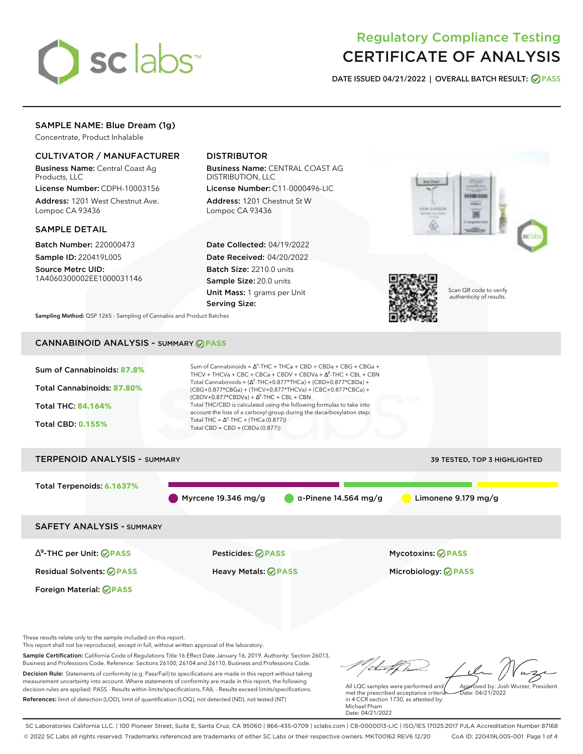

# Regulatory Compliance Testing CERTIFICATE OF ANALYSIS

**DATE ISSUED 04/21/2022 | OVERALL BATCH RESULT: PASS**

## SAMPLE NAME: Blue Dream (1g)

Concentrate, Product Inhalable

#### CULTIVATOR / MANUFACTURER

Business Name: Central Coast Ag Products, LLC

License Number: CDPH-10003156 Address: 1201 West Chestnut Ave. Lompoc CA 93436

#### SAMPLE DETAIL

Batch Number: 220000473 Sample ID: 220419L005

Source Metrc UID: 1A4060300002EE1000031146

# DISTRIBUTOR

Business Name: CENTRAL COAST AG DISTRIBUTION, LLC

License Number: C11-0000496-LIC Address: 1201 Chestnut St W Lompoc CA 93436

Date Collected: 04/19/2022 Date Received: 04/20/2022 Batch Size: 2210.0 units Sample Size: 20.0 units Unit Mass: 1 grams per Unit Serving Size:





Scan QR code to verify authenticity of results.

**Sampling Method:** QSP 1265 - Sampling of Cannabis and Product Batches

## CANNABINOID ANALYSIS - SUMMARY **PASS**

| Sum of Cannabinoids: 87.8%<br>Total Cannabinoids: 87.80%<br><b>Total THC: 84.164%</b><br><b>Total CBD: 0.155%</b> | Sum of Cannabinoids = $\Delta^9$ -THC + THCa + CBD + CBDa + CBG + CBGa +<br>THCV + THCVa + CBC + CBCa + CBDV + CBDVa + $\Delta^8$ -THC + CBL + CBN<br>Total Cannabinoids = $(\Delta^9$ -THC+0.877*THCa) + (CBD+0.877*CBDa) +<br>(CBG+0.877*CBGa) + (THCV+0.877*THCVa) + (CBC+0.877*CBCa) +<br>$(CBDV+0.877*CBDVa) + \Delta^8$ -THC + CBL + CBN<br>Total THC/CBD is calculated using the following formulas to take into<br>account the loss of a carboxyl group during the decarboxylation step:<br>Total THC = $\Delta^9$ -THC + (THCa (0.877))<br>Total CBD = $CBD + (CBDa (0.877))$ |                              |  |
|-------------------------------------------------------------------------------------------------------------------|----------------------------------------------------------------------------------------------------------------------------------------------------------------------------------------------------------------------------------------------------------------------------------------------------------------------------------------------------------------------------------------------------------------------------------------------------------------------------------------------------------------------------------------------------------------------------------------|------------------------------|--|
| <b>TERPENOID ANALYSIS - SUMMARY</b>                                                                               |                                                                                                                                                                                                                                                                                                                                                                                                                                                                                                                                                                                        | 39 TESTED, TOP 3 HIGHLIGHTED |  |
| Total Terpenoids: 6.1637%                                                                                         | Myrcene 19.346 mg/g<br>$\alpha$ -Pinene 14.564 mg/g                                                                                                                                                                                                                                                                                                                                                                                                                                                                                                                                    | Limonene 9.179 mg/g          |  |
| <b>SAFETY ANALYSIS - SUMMARY</b>                                                                                  |                                                                                                                                                                                                                                                                                                                                                                                                                                                                                                                                                                                        |                              |  |
| $\Delta^9$ -THC per Unit: $\bigcirc$ PASS                                                                         | Pesticides: ⊘PASS                                                                                                                                                                                                                                                                                                                                                                                                                                                                                                                                                                      | <b>Mycotoxins: ⊘PASS</b>     |  |
| <b>Residual Solvents: ⊘PASS</b>                                                                                   | Heavy Metals: <b>⊘ PASS</b>                                                                                                                                                                                                                                                                                                                                                                                                                                                                                                                                                            | Microbiology: @PASS          |  |
| Foreign Material: <b>⊘ PASS</b>                                                                                   |                                                                                                                                                                                                                                                                                                                                                                                                                                                                                                                                                                                        |                              |  |

These results relate only to the sample included on this report.

This report shall not be reproduced, except in full, without written approval of the laboratory.

Sample Certification: California Code of Regulations Title 16 Effect Date January 16, 2019. Authority: Section 26013, Business and Professions Code. Reference: Sections 26100, 26104 and 26110, Business and Professions Code. Decision Rule: Statements of conformity (e.g. Pass/Fail) to specifications are made in this report without taking measurement uncertainty into account. Where statements of conformity are made in this report, the following decision rules are applied: PASS - Results within limits/specifications, FAIL - Results exceed limits/specifications.

References: limit of detection (LOD), limit of quantification (LOQ), not detected (ND), not tested (NT)

hathh Approved by: Josh Wurzer, President

 $hat: 04/21/2022$ 

All LQC samples were performed and met the prescribed acceptance criteria in 4 CCR section 1730, as attested by: Michael Pham Date: 04/21/2022

SC Laboratories California LLC. | 100 Pioneer Street, Suite E, Santa Cruz, CA 95060 | 866-435-0709 | sclabs.com | C8-0000013-LIC | ISO/IES 17025:2017 PJLA Accreditation Number 87168 © 2022 SC Labs all rights reserved. Trademarks referenced are trademarks of either SC Labs or their respective owners. MKT00162 REV6 12/20 CoA ID: 220419L005-001 Page 1 of 4